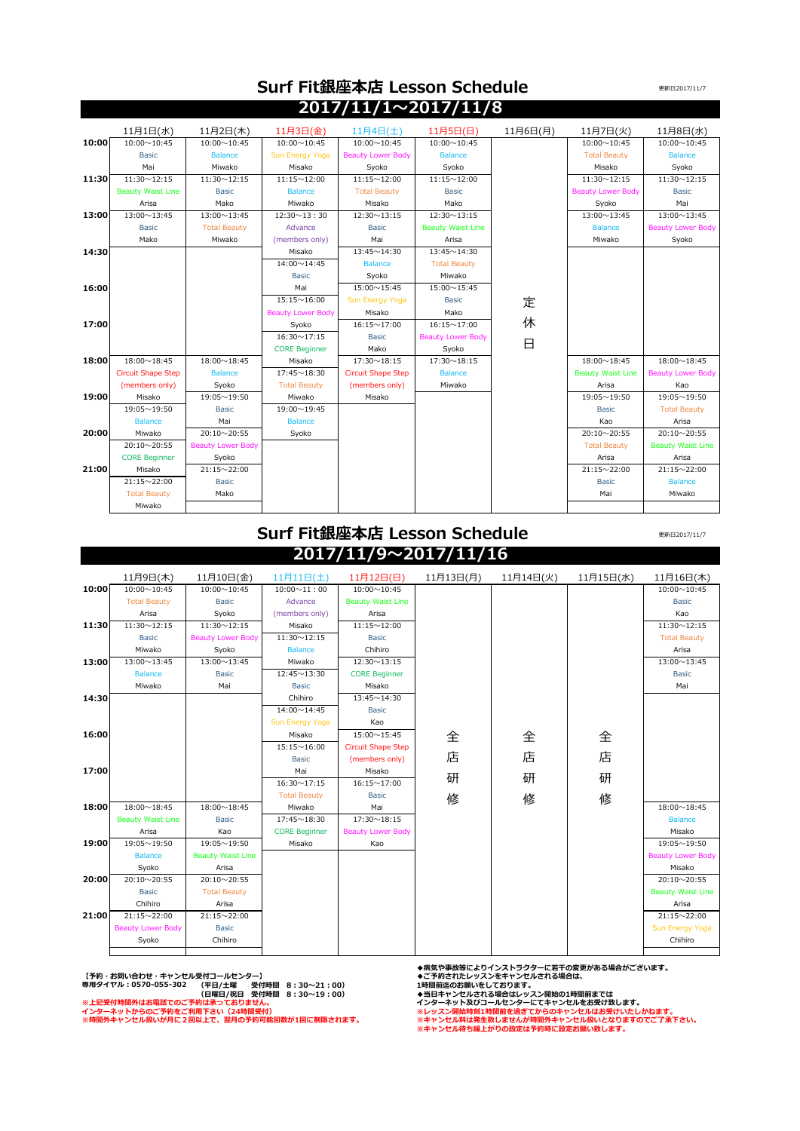|       |                           |                          |                          | $2017/11/1 \sim 2017/11/8$ |                          |          |                          |                          |
|-------|---------------------------|--------------------------|--------------------------|----------------------------|--------------------------|----------|--------------------------|--------------------------|
|       | 11月1日(水)                  | 11月2日(木)                 | 11月3日(金)                 | 11月4日(土)                   | 11月5日(日)                 | 11月6日(月) | 11月7日(火)                 | 11月8日(水)                 |
| 10:00 | $10:00 \sim 10:45$        | $10:00 \sim 10:45$       | $10:00 \sim 10:45$       | $10:00 \sim 10:45$         | $10:00 \sim 10:45$       |          | $10:00 \sim 10:45$       | $10:00 \sim 10:45$       |
|       | <b>Basic</b>              | <b>Balance</b>           | Sun Energy Yoga          | <b>Beauty Lower Body</b>   | <b>Balance</b>           |          | <b>Total Beauty</b>      | <b>Balance</b>           |
|       | Mai                       | Miwako                   | Misako                   | Syoko                      | Syoko                    |          | Misako                   | Syoko                    |
| 11:30 | $11:30 \sim 12:15$        | $11:30 \sim 12:15$       | $11:15 \sim 12:00$       | $11:15 \sim 12:00$         | $11:15 \sim 12:00$       |          | $11:30 \sim 12:15$       | $11:30 \sim 12:15$       |
|       | <b>Beauty Waist Line</b>  | <b>Basic</b>             | <b>Balance</b>           | <b>Total Beauty</b>        | <b>Basic</b>             |          | <b>Beauty Lower Body</b> | <b>Basic</b>             |
|       | Arisa                     | Mako                     | Miwako                   | Misako                     | Mako                     |          | Syoko                    | Mai                      |
| 13:00 | 13:00~13:45               | $13:00 \sim 13:45$       | $12:30 \sim 13:30$       | $12:30 \sim 13:15$         | $12:30 \sim 13:15$       |          | $13:00 \sim 13:45$       | 13:00~13:45              |
|       | <b>Basic</b>              | <b>Total Beauty</b>      | Advance                  | <b>Basic</b>               | <b>Beauty Waist Line</b> |          | <b>Balance</b>           | <b>Beauty Lower Body</b> |
|       | Mako                      | Miwako                   | (members only)           | Mai                        | Arisa                    |          | Miwako                   | Syoko                    |
| 14:30 |                           |                          | Misako                   | $13:45 \sim 14:30$         | 13:45~14:30              |          |                          |                          |
|       |                           |                          | 14:00~14:45              | <b>Balance</b>             | <b>Total Beauty</b>      |          |                          |                          |
|       |                           |                          | <b>Basic</b>             | Syoko                      | Miwako                   |          |                          |                          |
| 16:00 |                           |                          | Mai                      | 15:00~15:45                | $15:00 \sim 15:45$       |          |                          |                          |
|       |                           |                          | $15:15 \sim 16:00$       | Sun Energy Yoga            | <b>Basic</b>             | 定        |                          |                          |
|       |                           |                          | <b>Beauty Lower Body</b> | Misako                     | Mako                     |          |                          |                          |
| 17:00 |                           |                          | Syoko                    | $16:15 \sim 17:00$         | $16:15 \sim 17:00$       | 休        |                          |                          |
|       |                           |                          | $16:30 \sim 17:15$       | <b>Basic</b>               | <b>Beauty Lower Body</b> | 日        |                          |                          |
|       |                           |                          | <b>CORE Beginner</b>     | Mako                       | Syoko                    |          |                          |                          |
| 18:00 | $18:00 \sim 18:45$        | $18:00 \sim 18:45$       | Misako                   | $17:30 \sim 18:15$         | $17:30 \sim 18:15$       |          | $18:00 \sim 18:45$       | $18:00 \sim 18:45$       |
|       | <b>Circuit Shape Step</b> | <b>Balance</b>           | $17:45 \sim 18:30$       | <b>Circuit Shape Step</b>  | <b>Balance</b>           |          | <b>Beauty Waist Line</b> | <b>Beauty Lower Body</b> |
|       | (members only)            | Syoko                    | <b>Total Beauty</b>      | (members only)             | Miwako                   |          | Arisa                    | Kao                      |
| 19:00 | Misako                    | 19:05~19:50              | Miwako                   | Misako                     |                          |          | 19:05~19:50              | 19:05~19:50              |
|       | 19:05~19:50               | <b>Basic</b>             | 19:00~19:45              |                            |                          |          | <b>Basic</b>             | <b>Total Beauty</b>      |
|       | <b>Balance</b>            | Mai                      | <b>Balance</b>           |                            |                          |          | Kao                      | Arisa                    |
| 20:00 | Miwako                    | $20:10\sim 20:55$        | Syoko                    |                            |                          |          | $20:10\sim 20:55$        | 20:10~20:55              |
|       | 20:10~20:55               | <b>Beauty Lower Body</b> |                          |                            |                          |          | <b>Total Beauty</b>      | <b>Beauty Waist Line</b> |
|       | <b>CORE Beginner</b>      | Syoko                    |                          |                            |                          |          | Arisa                    | Arisa                    |
| 21:00 | Misako                    | 21:15~22:00              |                          |                            |                          |          | 21:15~22:00              | 21:15~22:00              |
|       | 21:15~22:00               | <b>Basic</b>             |                          |                            |                          |          | <b>Basic</b>             | <b>Balance</b>           |
|       | <b>Total Beauty</b>       | Mako                     |                          |                            |                          |          | Mai                      | Miwako                   |
|       | Miwako                    |                          |                          |                            |                          |          |                          |                          |

 **Surf Fit銀座本店 Lesson Schedule** 

## **Surf Fit銀座本店 Lesson Schedule**

**2017/11/9~2017/11/16**

更新日2017/11/7

更新日2017/11/7

|       | 11月9日(木)                 | 11月10日(金)                | 11月11日(土)            | 11月12日(日)                 | 11月13日(月) | 11月14日(火) | 11月15日(水) | 11月16日(木)                |
|-------|--------------------------|--------------------------|----------------------|---------------------------|-----------|-----------|-----------|--------------------------|
| 10:00 | $10:00 \sim 10:45$       | $10:00 \sim 10:45$       | $10:00 \sim 11:00$   | $10:00 \sim 10:45$        |           |           |           | $10:00 \sim 10:45$       |
|       | <b>Total Beauty</b>      | <b>Basic</b>             | Advance              | <b>Beauty Waist Line</b>  |           |           |           | <b>Basic</b>             |
|       | Arisa                    | Syoko                    | (members only)       | Arisa                     |           |           |           | Kao                      |
| 11:30 | $11:30 \sim 12:15$       | $11:30 \sim 12:15$       | Misako               | $11:15 \sim 12:00$        |           |           |           | $11:30 \sim 12:15$       |
|       | <b>Basic</b>             | <b>Beauty Lower Body</b> | $11:30 \sim 12:15$   | <b>Basic</b>              |           |           |           | <b>Total Beauty</b>      |
|       | Miwako                   | Syoko                    | <b>Balance</b>       | Chihiro                   |           |           |           | Arisa                    |
| 13:00 | 13:00~13:45              | $13:00 \sim 13:45$       | Miwako               | $12:30 \sim 13:15$        |           |           |           | 13:00~13:45              |
|       | <b>Balance</b>           | <b>Basic</b>             | $12:45 \sim 13:30$   | <b>CORE Beginner</b>      |           |           |           | <b>Basic</b>             |
|       | Miwako                   | Mai                      | <b>Basic</b>         | Misako                    |           |           |           | Mai                      |
| 14:30 |                          |                          | Chihiro              | $13:45 \sim 14:30$        |           |           |           |                          |
|       |                          |                          | 14:00~14:45          | <b>Basic</b>              |           |           |           |                          |
|       |                          |                          | Sun Energy Yoga      | Kao                       |           |           |           |                          |
| 16:00 |                          |                          | Misako               | 15:00~15:45               | 全         | 全         | 全         |                          |
|       |                          |                          | $15:15 \sim 16:00$   | <b>Circuit Shape Step</b> |           |           |           |                          |
|       |                          |                          | <b>Basic</b>         | (members only)            | 店         | 店         | 店         |                          |
| 17:00 |                          |                          | Mai                  | Misako                    |           |           |           |                          |
|       |                          |                          | $16:30 \sim 17:15$   | $16:15 \sim 17:00$        | 研         | 研         | 研         |                          |
|       |                          |                          | <b>Total Beauty</b>  | <b>Basic</b>              | 修         | 修         | 修         |                          |
| 18:00 | $18:00 \sim 18:45$       | $18:00 \sim 18:45$       | Miwako               | Mai                       |           |           |           | $18:00 \sim 18:45$       |
|       | <b>Beauty Waist Line</b> | <b>Basic</b>             | 17:45~18:30          | $17:30 \sim 18:15$        |           |           |           | <b>Balance</b>           |
|       | Arisa                    | Kao                      | <b>CORE Beginner</b> | <b>Beauty Lower Body</b>  |           |           |           | Misako                   |
| 19:00 | 19:05~19:50              | 19:05~19:50              | Misako               | Kao                       |           |           |           | 19:05~19:50              |
|       | <b>Balance</b>           | <b>Beauty Waist Line</b> |                      |                           |           |           |           | <b>Beauty Lower Body</b> |
|       | Syoko                    | Arisa                    |                      |                           |           |           |           | Misako                   |
| 20:00 | 20:10~20:55              | 20:10~20:55              |                      |                           |           |           |           | 20:10~20:55              |
|       | <b>Basic</b>             | <b>Total Beauty</b>      |                      |                           |           |           |           | <b>Beauty Waist Line</b> |
|       | Chihiro                  | Arisa                    |                      |                           |           |           |           | Arisa                    |
| 21:00 | 21:15~22:00              | $21:15 \sim 22:00$       |                      |                           |           |           |           | 21:15~22:00              |
|       | <b>Beauty Lower Body</b> | <b>Basic</b>             |                      |                           |           |           |           | Sun Energy Yoga          |
|       | Syoko                    | Chihiro                  |                      |                           |           |           |           | Chihiro                  |
|       |                          |                          |                      |                           |           |           |           |                          |

【予約・お問い合わせ・キャンセル受付コールセンター】<br>専用ダイヤル:0570-055-302 (平日/土曜 受付時間 8:30~21:00) 1時間前迄のお願いをしております。<br>※上記受付時間外はお電話でのご予約は承っておりません。 →当日キャンセルされる場合はレッスン開始の1時間前までは<br>インターネットからのご予約をご利用下さい(24時間受付) **専用ダイヤル:0570-055-302** 

**◆病気や事故等によりインストラクターに若干の変更がある場合がございます。**

**※時間外キャンセル扱いが月に2回以上で、翌月の予約可能回数が1回に制限されます。 ※キャンセル料は発生致しませんが時間外キャンセル扱いとなりますのでご了承下さい。 ※キャンセル待ち繰上がりの設定は予約時に設定お願い致します。**